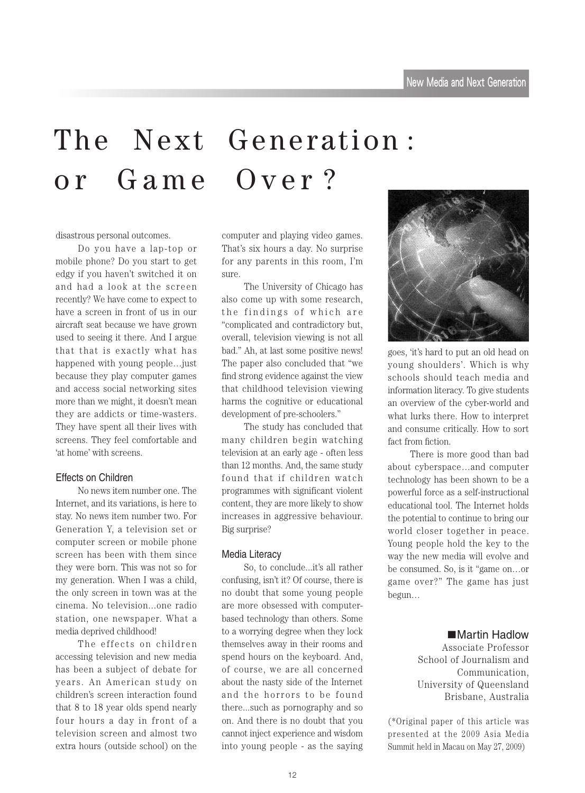# The Next Generation: or Game Over?

disastrous personal outcomes.

Do you have a lap-top or mobile phone? Do you start to get edgy if you haven't switched it on and had a look at the screen recently? We have come to expect to have a screen in front of us in our aircraft seat because we have grown used to seeing it there. And I argue that that is exactly what has happened with young people...just because they play computer games and access social networking sites more than we might, it doesn't mean they are addicts or time-wasters. They have spent all their lives with screens. They feel comfortable and 'at home' with screens.

### Fffects on Children

No news item number one. The Internet, and its variations, is here to stay. No news item number two. For Generation Y, a television set or computer screen or mobile phone screen has been with them since they were born. This was not so for my generation. When I was a child, the only screen in town was at the cinema. No television...one radio station, one newspaper. What a media deprived childhood!

The effects on children accessing television and new media has been a subject of debate for years. An American study on children's screen interaction found that  $8$  to  $18$  year olds spend nearly four hours a day in front of a television screen and almost two extra hours (outside school) on the computer and playing video games. That's six hours a day. No surprise for any parents in this room, I'm .sure

The University of Chicago has also come up with some research, the findings of which are "complicated and contradictory but, overall, television viewing is not all bad." Ah, at last some positive news! The paper also concluded that "we find strong evidence against the view that childhood television viewing harms the cognitive or educational development of pre-schoolers."

The study has concluded that many children begin watching television at an early age - often less than 12 months. And, the same study found that if children watch programmes with significant violent content, they are more likely to show increases in aggressive behaviour. Big surprise?

#### Media Literacy

So, to conclude...it's all rather confusing, isn't it? Of course, there is no doubt that some young people based technology than others. Some are more obsessed with computerto a worrying degree when they lock themselves away in their rooms and spend hours on the keyboard. And, of course, we are all concerned about the nasty side of the Internet and the horrors to be found there...such as pornography and so on. And there is no doubt that you cannot inject experience and wisdom into young people - as the saying



goes, 'it's hard to put an old head on young shoulders'. Which is why schools should teach media and information literacy. To give students an overview of the cyber-world and what lurks there. How to interpret and consume critically. How to sort fact from fiction.

There is more good than bad about cyberspace...and computer technology has been shown to be a powerful force as a self-instructional educational tool. The Internet holds the potential to continue to bring our world closer together in peace. Young people hold the key to the way the new media will evolve and be consumed. So, is it "game on...or game over?" The game has just ...begun

### ■Martin Hadlow

Associate Professor School of Journalism and Communication. University of Queensland Brisbane, Australia

 $(*$ Original paper of this article was presented at the 2009 Asia Media Summit held in Macau on May 27, 2009)